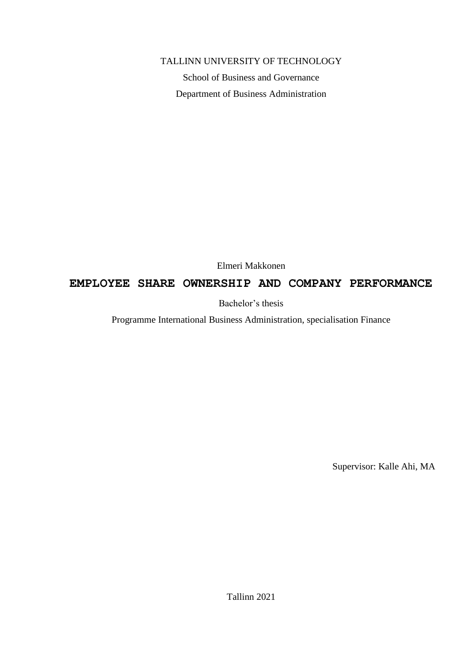#### TALLINN UNIVERSITY OF TECHNOLOGY

School of Business and Governance Department of Business Administration

Elmeri Makkonen

# **EMPLOYEE SHARE OWNERSHIP AND COMPANY PERFORMANCE**

Bachelor's thesis

Programme International Business Administration, specialisation Finance

Supervisor: Kalle Ahi, MA

Tallinn 2021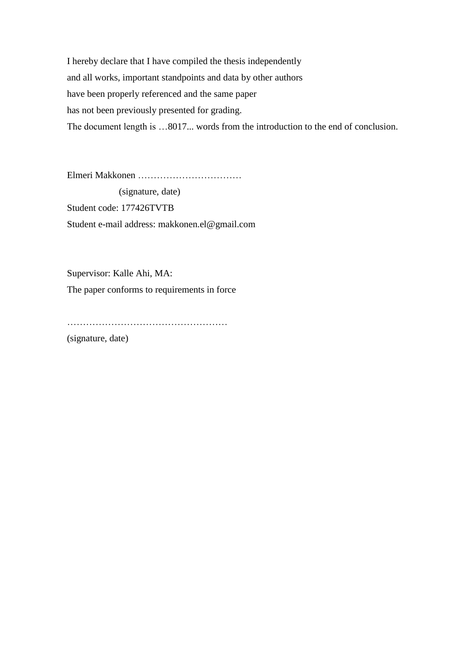I hereby declare that I have compiled the thesis independently and all works, important standpoints and data by other authors have been properly referenced and the same paper has not been previously presented for grading. The document length is …8017... words from the introduction to the end of conclusion.

Elmeri Makkonen ……………………………

 (signature, date) Student code: 177426TVTB Student e-mail address: makkonen.el@gmail.com

Supervisor: Kalle Ahi, MA: The paper conforms to requirements in force

……………………………………………

(signature, date)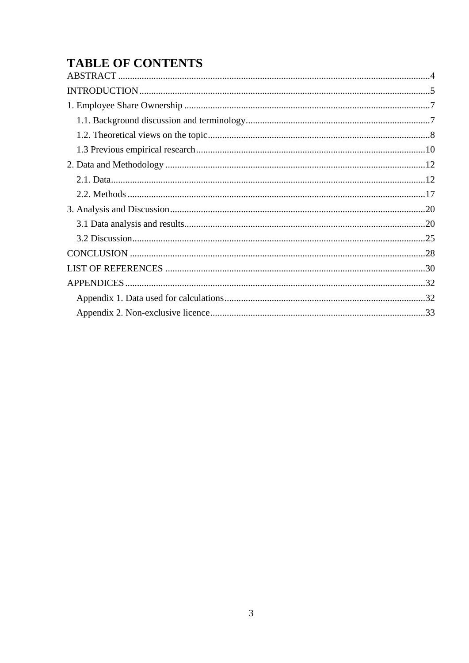# **TABLE OF CONTENTS**

 $\overline{a}$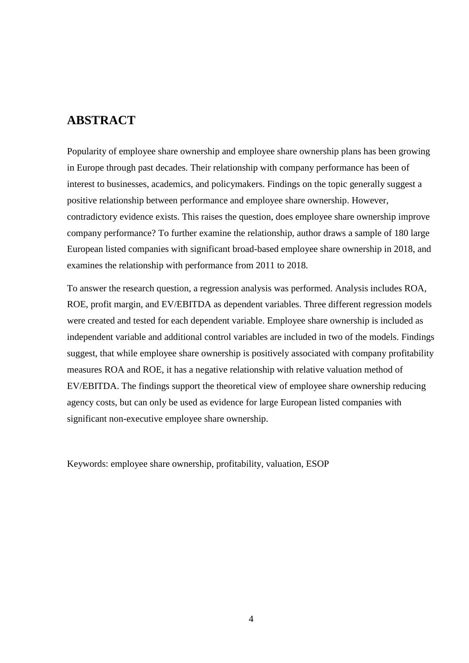# <span id="page-3-0"></span>**ABSTRACT**

Popularity of employee share ownership and employee share ownership plans has been growing in Europe through past decades. Their relationship with company performance has been of interest to businesses, academics, and policymakers. Findings on the topic generally suggest a positive relationship between performance and employee share ownership. However, contradictory evidence exists. This raises the question, does employee share ownership improve company performance? To further examine the relationship, author draws a sample of 180 large European listed companies with significant broad-based employee share ownership in 2018, and examines the relationship with performance from 2011 to 2018.

To answer the research question, a regression analysis was performed. Analysis includes ROA, ROE, profit margin, and EV/EBITDA as dependent variables. Three different regression models were created and tested for each dependent variable. Employee share ownership is included as independent variable and additional control variables are included in two of the models. Findings suggest, that while employee share ownership is positively associated with company profitability measures ROA and ROE, it has a negative relationship with relative valuation method of EV/EBITDA. The findings support the theoretical view of employee share ownership reducing agency costs, but can only be used as evidence for large European listed companies with significant non-executive employee share ownership.

Keywords: employee share ownership, profitability, valuation, ESOP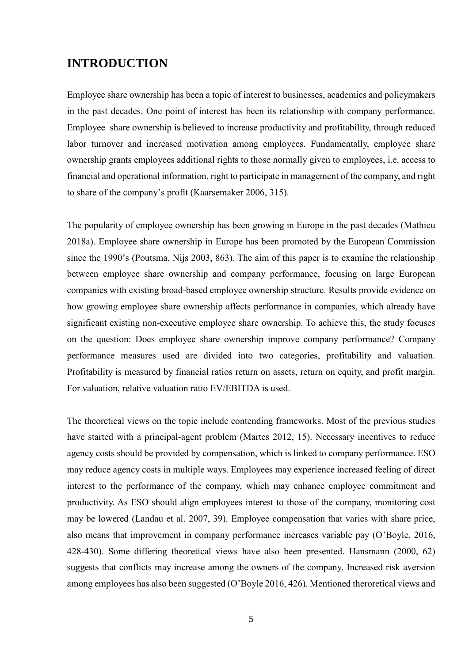# <span id="page-4-0"></span>**INTRODUCTION**

Employee share ownership has been a topic of interest to businesses, academics and policymakers in the past decades. One point of interest has been its relationship with company performance. Employee share ownership is believed to increase productivity and profitability, through reduced labor turnover and increased motivation among employees. Fundamentally, employee share ownership grants employees additional rights to those normally given to employees, i.e. access to financial and operational information, right to participate in management of the company, and right to share of the company's profit (Kaarsemaker 2006, 315).

The popularity of employee ownership has been growing in Europe in the past decades (Mathieu 2018a). Employee share ownership in Europe has been promoted by the European Commission since the 1990's (Poutsma, Nijs 2003, 863). The aim of this paper is to examine the relationship between employee share ownership and company performance, focusing on large European companies with existing broad-based employee ownership structure. Results provide evidence on how growing employee share ownership affects performance in companies, which already have significant existing non-executive employee share ownership. To achieve this, the study focuses on the question: Does employee share ownership improve company performance? Company performance measures used are divided into two categories, profitability and valuation. Profitability is measured by financial ratios return on assets, return on equity, and profit margin. For valuation, relative valuation ratio EV/EBITDA is used.

The theoretical views on the topic include contending frameworks. Most of the previous studies have started with a principal-agent problem (Martes 2012, 15). Necessary incentives to reduce agency costs should be provided by compensation, which is linked to company performance. ESO may reduce agency costs in multiple ways. Employees may experience increased feeling of direct interest to the performance of the company, which may enhance employee commitment and productivity. As ESO should align employees interest to those of the company, monitoring cost may be lowered (Landau et al. 2007, 39). Employee compensation that varies with share price, also means that improvement in company performance increases variable pay (O'Boyle, 2016, 428-430). Some differing theoretical views have also been presented. Hansmann (2000, 62) suggests that conflicts may increase among the owners of the company. Increased risk aversion among employees has also been suggested (O'Boyle 2016, 426). Mentioned theroretical views and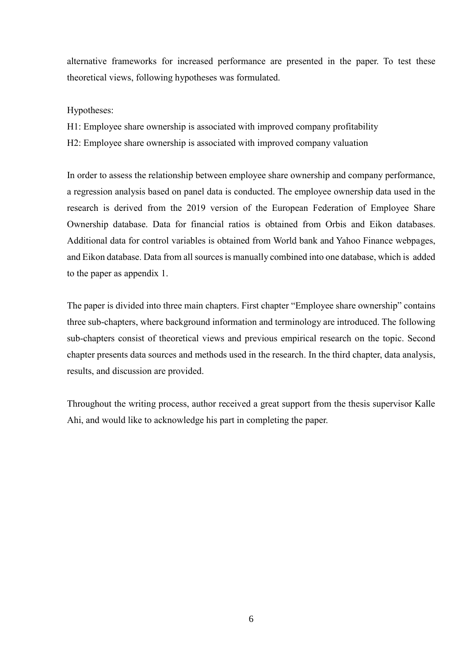alternative frameworks for increased performance are presented in the paper. To test these theoretical views, following hypotheses was formulated.

Hypotheses:

- H1: Employee share ownership is associated with improved company profitability
- H2: Employee share ownership is associated with improved company valuation

In order to assess the relationship between employee share ownership and company performance, a regression analysis based on panel data is conducted. The employee ownership data used in the research is derived from the 2019 version of the European Federation of Employee Share Ownership database. Data for financial ratios is obtained from Orbis and Eikon databases. Additional data for control variables is obtained from World bank and Yahoo Finance webpages, and Eikon database. Data from all sources is manually combined into one database, which is added to the paper as appendix 1.

The paper is divided into three main chapters. First chapter "Employee share ownership" contains three sub-chapters, where background information and terminology are introduced. The following sub-chapters consist of theoretical views and previous empirical research on the topic. Second chapter presents data sources and methods used in the research. In the third chapter, data analysis, results, and discussion are provided.

Throughout the writing process, author received a great support from the thesis supervisor Kalle Ahi, and would like to acknowledge his part in completing the paper.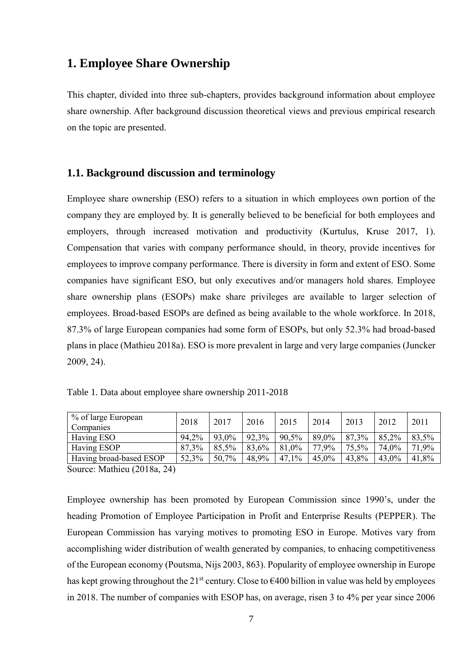# <span id="page-6-0"></span>**1. Employee Share Ownership**

This chapter, divided into three sub-chapters, provides background information about employee share ownership. After background discussion theoretical views and previous empirical research on the topic are presented.

#### <span id="page-6-1"></span>**1.1. Background discussion and terminology**

Employee share ownership (ESO) refers to a situation in which employees own portion of the company they are employed by. It is generally believed to be beneficial for both employees and employers, through increased motivation and productivity (Kurtulus, Kruse 2017, 1). Compensation that varies with company performance should, in theory, provide incentives for employees to improve company performance. There is diversity in form and extent of ESO. Some companies have significant ESO, but only executives and/or managers hold shares. Employee share ownership plans (ESOPs) make share privileges are available to larger selection of employees. Broad-based ESOPs are defined as being available to the whole workforce. In 2018, 87.3% of large European companies had some form of ESOPs, but only 52.3% had broad-based plans in place (Mathieu 2018a). ESO is more prevalent in large and very large companies (Juncker 2009, 24).

| Table 1. Data about employee share ownership 2011-2018 |  |  |  |
|--------------------------------------------------------|--|--|--|
|--------------------------------------------------------|--|--|--|

| % of large European<br>Companies | 2018  | 2017  | 2016  | 2015  | 2014  | 2013     | 2012  | 2011  |
|----------------------------------|-------|-------|-------|-------|-------|----------|-------|-------|
| Having ESO                       | 94,2% | 93,0% | 92,3% | 90.5% | 89,0% | 87,3%    | 85,2% | 83,5% |
| Having ESOP                      | 87.3% | 85,5% | 83,6% | 81,0% | 77,9% | $75.5\%$ | 74.0% | 71,9% |
| Having broad-based ESOP          | 52,3% | 50,7% | 48,9% | 47,1% | 45,0% | 43,8%    | 43,0% | 41,8% |

Source: Mathieu (2018a, 24)

Employee ownership has been promoted by European Commission since 1990's, under the heading Promotion of Employee Participation in Profit and Enterprise Results (PEPPER). The European Commission has varying motives to promoting ESO in Europe. Motives vary from accomplishing wider distribution of wealth generated by companies, to enhacing competitiveness of the European economy (Poutsma, Nijs 2003, 863). Popularity of employee ownership in Europe has kept growing throughout the 21<sup>st</sup> century. Close to  $\epsilon$ 400 billion in value was held by employees in 2018. The number of companies with ESOP has, on average, risen 3 to 4% per year since 2006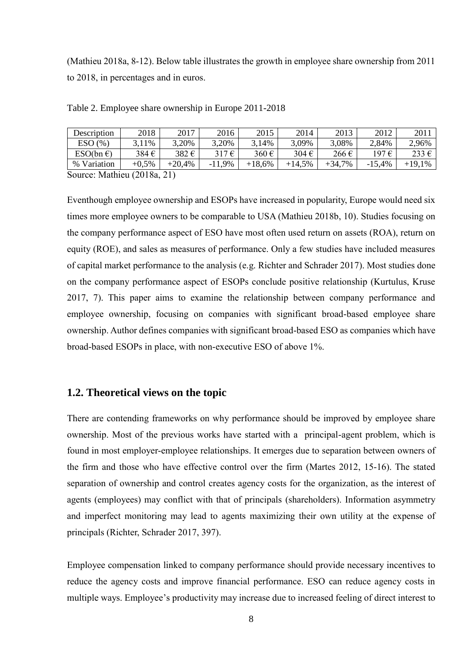(Mathieu 2018a, 8-12). Below table illustrates the growth in employee share ownership from 2011 to 2018, in percentages and in euros.

| Description        | 2018                        | 2017     | 2016     | 2015     | 2014   | 2013   | 2012     | 2011   |
|--------------------|-----------------------------|----------|----------|----------|--------|--------|----------|--------|
| ESO(%)             | 3.11%                       | 3,20%    | 3,20%    | 3,14%    | 3,09%  | 3,08%  | 2,84%    | 2.96%  |
| $ESO(bn \epsilon)$ | 384€                        | 382€     | 317€     | 360€     | 304€   | 266€   | 197 €    | 233 €  |
| % Variation        | $+0.5\%$                    | $+20.4%$ | $-11,9%$ | $+18,6%$ | +14.5% | +34.7% | $-15.4%$ | +19.1% |
| ----<br>__         | $\sim$ $\sim$ $\sim$ $\sim$ |          |          |          |        |        |          |        |

Table 2. Employee share ownership in Europe 2011-2018

Source: Mathieu (2018a, 21)

Eventhough employee ownership and ESOPs have increased in popularity, Europe would need six times more employee owners to be comparable to USA (Mathieu 2018b, 10). Studies focusing on the company performance aspect of ESO have most often used return on assets (ROA), return on equity (ROE), and sales as measures of performance. Only a few studies have included measures of capital market performance to the analysis (e.g. Richter and Schrader 2017). Most studies done on the company performance aspect of ESOPs conclude positive relationship (Kurtulus, Kruse 2017, 7). This paper aims to examine the relationship between company performance and employee ownership, focusing on companies with significant broad-based employee share ownership. Author defines companies with significant broad-based ESO as companies which have broad-based ESOPs in place, with non-executive ESO of above 1%.

### <span id="page-7-0"></span>**1.2. Theoretical views on the topic**

There are contending frameworks on why performance should be improved by employee share ownership. Most of the previous works have started with a principal-agent problem, which is found in most employer-employee relationships. It emerges due to separation between owners of the firm and those who have effective control over the firm (Martes 2012, 15-16). The stated separation of ownership and control creates agency costs for the organization, as the interest of agents (employees) may conflict with that of principals (shareholders). Information asymmetry and imperfect monitoring may lead to agents maximizing their own utility at the expense of principals (Richter, Schrader 2017, 397).

Employee compensation linked to company performance should provide necessary incentives to reduce the agency costs and improve financial performance. ESO can reduce agency costs in multiple ways. Employee's productivity may increase due to increased feeling of direct interest to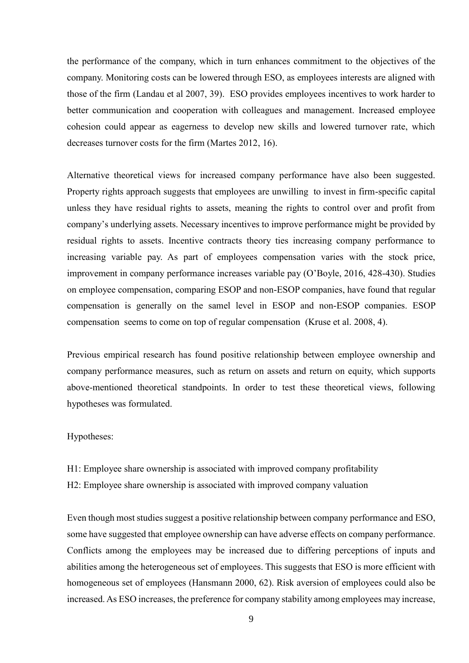the performance of the company, which in turn enhances commitment to the objectives of the company. Monitoring costs can be lowered through ESO, as employees interests are aligned with those of the firm (Landau et al 2007, 39). ESO provides employees incentives to work harder to better communication and cooperation with colleagues and management. Increased employee cohesion could appear as eagerness to develop new skills and lowered turnover rate, which decreases turnover costs for the firm (Martes 2012, 16).

Alternative theoretical views for increased company performance have also been suggested. Property rights approach suggests that employees are unwilling to invest in firm-specific capital unless they have residual rights to assets, meaning the rights to control over and profit from company's underlying assets. Necessary incentives to improve performance might be provided by residual rights to assets. Incentive contracts theory ties increasing company performance to increasing variable pay. As part of employees compensation varies with the stock price, improvement in company performance increases variable pay (O'Boyle, 2016, 428-430). Studies on employee compensation, comparing ESOP and non-ESOP companies, have found that regular compensation is generally on the samel level in ESOP and non-ESOP companies. ESOP compensation seems to come on top of regular compensation (Kruse et al. 2008, 4).

Previous empirical research has found positive relationship between employee ownership and company performance measures, such as return on assets and return on equity, which supports above-mentioned theoretical standpoints. In order to test these theoretical views, following hypotheses was formulated.

#### Hypotheses:

H1: Employee share ownership is associated with improved company profitability

H2: Employee share ownership is associated with improved company valuation

Even though most studies suggest a positive relationship between company performance and ESO, some have suggested that employee ownership can have adverse effects on company performance. Conflicts among the employees may be increased due to differing perceptions of inputs and abilities among the heterogeneous set of employees. This suggests that ESO is more efficient with homogeneous set of employees (Hansmann 2000, 62). Risk aversion of employees could also be increased. As ESO increases, the preference for company stability among employees may increase,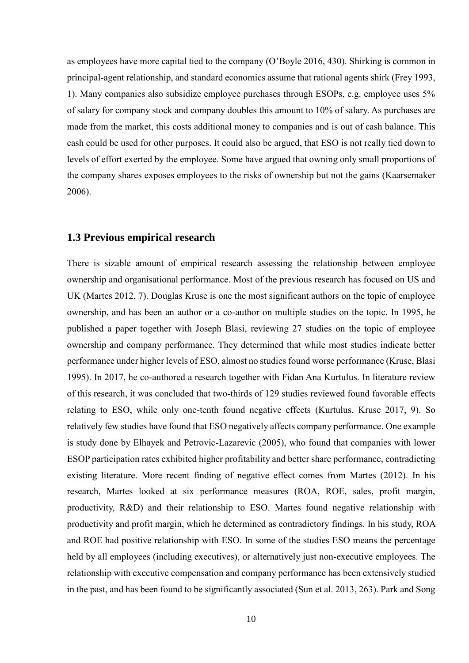as employees have more capital tied to the company (O'Boyle 2016, 430). Shirking is common in principal-agent relationship, and standard economics assume that rational agents shirk (Frey 1993, 1). Many companies also subsidize employee purchases through ESOPs, e.g. employee uses 5% of salary for company stock and company doubles this amount to 10% of salary. As purchases are made from the market, this costs additional money to companies and is out of cash balance. This cash could be used for other purposes. It could also be argued, that ESO is not really tied down to levels of effort exerted by the employee. Some have argued that owning only small proportions of the company shares exposes employees to the risks of ownership but not the gains (Kaarsemaker 2006).

#### <span id="page-9-0"></span>**1.3 Previous empirical research**

There is sizable amount of empirical research assessing the relationship between employee ownership and organisational performance. Most of the previous research has focused on US and UK (Martes 2012, 7). Douglas Kruse is one the most significant authors on the topic of employee ownership, and has been an author or a co-author on multiple studies on the topic. In 1995, he published a paper together with Joseph Blasi, reviewing 27 studies on the topic of employee ownership and company performance. They determined that while most studies indicate better performance under higher levels of ESO, almost no studies found worse performance (Kruse, Blasi 1995). In 2017, he co-authored a research together with Fidan Ana Kurtulus. In literature review of this research, it was concluded that two-thirds of 129 studies reviewed found favorable effects relating to ESO, while only one-tenth found negative effects (Kurtulus, Kruse 2017, 9). So relatively few studies have found that ESO negatively affects company performance. One example is study done by Elhayek and Petrovic-Lazarevic (2005), who found that companies with lower ESOP participation rates exhibited higher profitability and better share performance, contradicting existing literature. More recent finding of negative effect comes from Martes (2012). In his research, Martes looked at six performance measures (ROA, ROE, sales, profit margin, productivity, R&D) and their relationship to ESO. Martes found negative relationship with productivity and profit margin, which he determined as contradictory findings. In his study, ROA and ROE had positive relationship with ESO. In some of the studies ESO means the percentage held by all employees (including executives), or alternatively just non-executive employees. The relationship with executive compensation and company performance has been extensively studied in the past, and has been found to be significantly associated (Sun et al. 2013, 263). Park and Song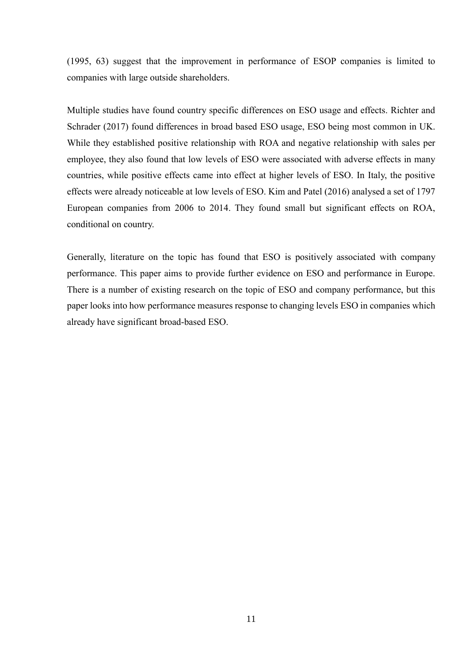(1995, 63) suggest that the improvement in performance of ESOP companies is limited to companies with large outside shareholders.

Multiple studies have found country specific differences on ESO usage and effects. Richter and Schrader (2017) found differences in broad based ESO usage, ESO being most common in UK. While they established positive relationship with ROA and negative relationship with sales per employee, they also found that low levels of ESO were associated with adverse effects in many countries, while positive effects came into effect at higher levels of ESO. In Italy, the positive effects were already noticeable at low levels of ESO. Kim and Patel (2016) analysed a set of 1797 European companies from 2006 to 2014. They found small but significant effects on ROA, conditional on country.

Generally, literature on the topic has found that ESO is positively associated with company performance. This paper aims to provide further evidence on ESO and performance in Europe. There is a number of existing research on the topic of ESO and company performance, but this paper looks into how performance measures response to changing levels ESO in companies which already have significant broad-based ESO.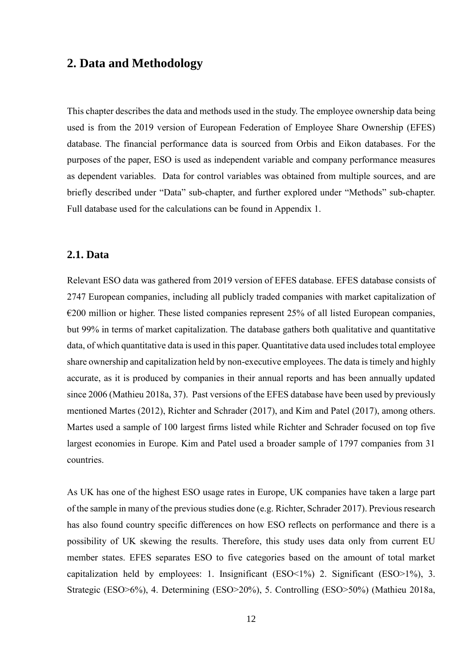# <span id="page-11-0"></span>**2. Data and Methodology**

This chapter describes the data and methods used in the study. The employee ownership data being used is from the 2019 version of European Federation of Employee Share Ownership (EFES) database. The financial performance data is sourced from Orbis and Eikon databases. For the purposes of the paper, ESO is used as independent variable and company performance measures as dependent variables. Data for control variables was obtained from multiple sources, and are briefly described under "Data" sub-chapter, and further explored under "Methods" sub-chapter. Full database used for the calculations can be found in Appendix 1.

#### <span id="page-11-1"></span>**2.1. Data**

Relevant ESO data was gathered from 2019 version of EFES database. EFES database consists of 2747 European companies, including all publicly traded companies with market capitalization of  $\epsilon$ 200 million or higher. These listed companies represent 25% of all listed European companies, but 99% in terms of market capitalization. The database gathers both qualitative and quantitative data, of which quantitative data is used in this paper. Quantitative data used includes total employee share ownership and capitalization held by non-executive employees. The data is timely and highly accurate, as it is produced by companies in their annual reports and has been annually updated since 2006 (Mathieu 2018a, 37). Past versions of the EFES database have been used by previously mentioned Martes (2012), Richter and Schrader (2017), and Kim and Patel (2017), among others. Martes used a sample of 100 largest firms listed while Richter and Schrader focused on top five largest economies in Europe. Kim and Patel used a broader sample of 1797 companies from 31 countries.

As UK has one of the highest ESO usage rates in Europe, UK companies have taken a large part of the sample in many of the previous studies done (e.g. Richter, Schrader 2017). Previous research has also found country specific differences on how ESO reflects on performance and there is a possibility of UK skewing the results. Therefore, this study uses data only from current EU member states. EFES separates ESO to five categories based on the amount of total market capitalization held by employees: 1. Insignificant (ESO<1%) 2. Significant (ESO>1%), 3. Strategic (ESO>6%), 4. Determining (ESO>20%), 5. Controlling (ESO>50%) (Mathieu 2018a,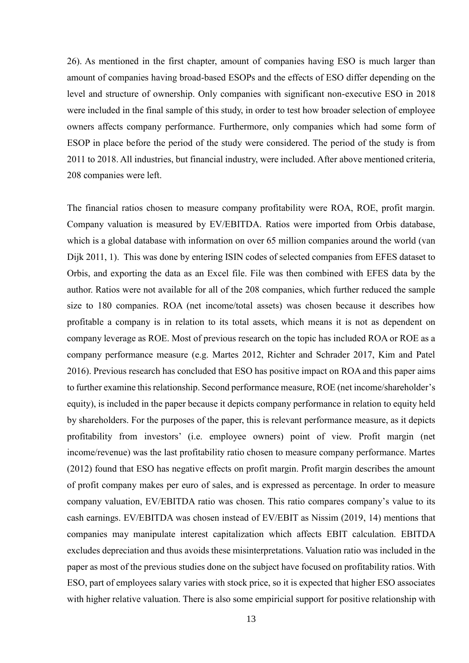26). As mentioned in the first chapter, amount of companies having ESO is much larger than amount of companies having broad-based ESOPs and the effects of ESO differ depending on the level and structure of ownership. Only companies with significant non-executive ESO in 2018 were included in the final sample of this study, in order to test how broader selection of employee owners affects company performance. Furthermore, only companies which had some form of ESOP in place before the period of the study were considered. The period of the study is from 2011 to 2018. All industries, but financial industry, were included. After above mentioned criteria, 208 companies were left.

The financial ratios chosen to measure company profitability were ROA, ROE, profit margin. Company valuation is measured by EV/EBITDA. Ratios were imported from Orbis database, which is a global database with information on over 65 million companies around the world (van Dijk 2011, 1). This was done by entering ISIN codes of selected companies from EFES dataset to Orbis, and exporting the data as an Excel file. File was then combined with EFES data by the author. Ratios were not available for all of the 208 companies, which further reduced the sample size to 180 companies. ROA (net income/total assets) was chosen because it describes how profitable a company is in relation to its total assets, which means it is not as dependent on company leverage as ROE. Most of previous research on the topic has included ROA or ROE as a company performance measure (e.g. Martes 2012, Richter and Schrader 2017, Kim and Patel 2016). Previous research has concluded that ESO has positive impact on ROA and this paper aims to further examine this relationship. Second performance measure, ROE (net income/shareholder's equity), is included in the paper because it depicts company performance in relation to equity held by shareholders. For the purposes of the paper, this is relevant performance measure, as it depicts profitability from investors' (i.e. employee owners) point of view. Profit margin (net income/revenue) was the last profitability ratio chosen to measure company performance. Martes (2012) found that ESO has negative effects on profit margin. Profit margin describes the amount of profit company makes per euro of sales, and is expressed as percentage. In order to measure company valuation, EV/EBITDA ratio was chosen. This ratio compares company's value to its cash earnings. EV/EBITDA was chosen instead of EV/EBIT as Nissim (2019, 14) mentions that companies may manipulate interest capitalization which affects EBIT calculation. EBITDA excludes depreciation and thus avoids these misinterpretations. Valuation ratio was included in the paper as most of the previous studies done on the subject have focused on profitability ratios. With ESO, part of employees salary varies with stock price, so it is expected that higher ESO associates with higher relative valuation. There is also some empiricial support for positive relationship with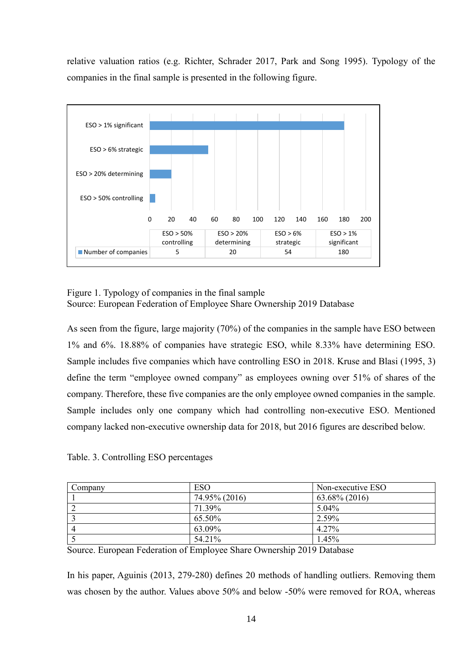relative valuation ratios (e.g. Richter, Schrader 2017, Park and Song 1995). Typology of the companies in the final sample is presented in the following figure.



Figure 1. Typology of companies in the final sample Source: European Federation of Employee Share Ownership 2019 Database

As seen from the figure, large majority (70%) of the companies in the sample have ESO between 1% and 6%. 18.88% of companies have strategic ESO, while 8.33% have determining ESO. Sample includes five companies which have controlling ESO in 2018. Kruse and Blasi (1995, 3) define the term "employee owned company" as employees owning over 51% of shares of the company. Therefore, these five companies are the only employee owned companies in the sample. Sample includes only one company which had controlling non-executive ESO. Mentioned company lacked non-executive ownership data for 2018, but 2016 figures are described below.

Table. 3. Controlling ESO percentages

| Company | <b>ESO</b>    | Non-executive ESO |
|---------|---------------|-------------------|
|         | 74.95% (2016) | 63.68% (2016)     |
|         | 71.39%        | $5.04\%$          |
|         | 65.50%        | 2.59%             |
|         | 63.09%        | 4.27%             |
|         | 54.21%        | 1.45%             |

Source. European Federation of Employee Share Ownership 2019 Database

In his paper, Aguinis (2013, 279-280) defines 20 methods of handling outliers. Removing them was chosen by the author. Values above 50% and below -50% were removed for ROA, whereas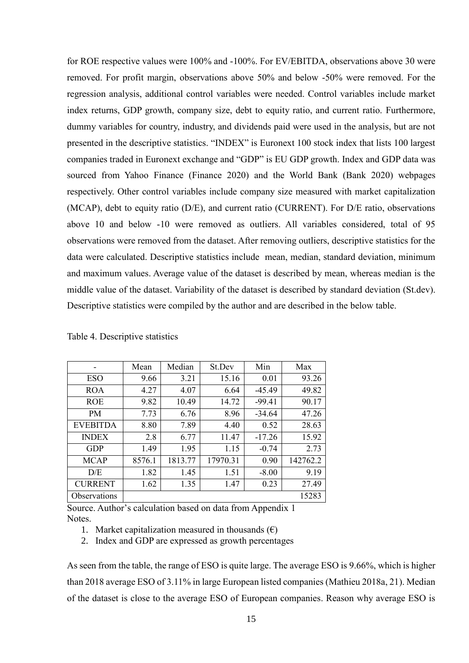for ROE respective values were 100% and -100%. For EV/EBITDA, observations above 30 were removed. For profit margin, observations above 50% and below -50% were removed. For the regression analysis, additional control variables were needed. Control variables include market index returns, GDP growth, company size, debt to equity ratio, and current ratio. Furthermore, dummy variables for country, industry, and dividends paid were used in the analysis, but are not presented in the descriptive statistics. "INDEX" is Euronext 100 stock index that lists 100 largest companies traded in Euronext exchange and "GDP" is EU GDP growth. Index and GDP data was sourced from Yahoo Finance (Finance 2020) and the World Bank (Bank 2020) webpages respectively. Other control variables include company size measured with market capitalization (MCAP), debt to equity ratio (D/E), and current ratio (CURRENT). For D/E ratio, observations above 10 and below -10 were removed as outliers. All variables considered, total of 95 observations were removed from the dataset. After removing outliers, descriptive statistics for the data were calculated. Descriptive statistics include mean, median, standard deviation, minimum and maximum values. Average value of the dataset is described by mean, whereas median is the middle value of the dataset. Variability of the dataset is described by standard deviation (St.dev). Descriptive statistics were compiled by the author and are described in the below table.

|                     | Mean   | Median  | St.Dev   | Min      | Max      |
|---------------------|--------|---------|----------|----------|----------|
| <b>ESO</b>          | 9.66   | 3.21    | 15.16    | 0.01     | 93.26    |
| <b>ROA</b>          | 4.27   | 4.07    | 6.64     | $-45.49$ | 49.82    |
| <b>ROE</b>          | 9.82   | 10.49   | 14.72    | $-99.41$ | 90.17    |
| <b>PM</b>           | 7.73   | 6.76    | 8.96     | $-34.64$ | 47.26    |
| <b>EVEBITDA</b>     | 8.80   | 7.89    | 4.40     | 0.52     | 28.63    |
| <b>INDEX</b>        | 2.8    | 6.77    | 11.47    | $-17.26$ | 15.92    |
| <b>GDP</b>          | 1.49   | 1.95    | 1.15     | $-0.74$  | 2.73     |
| <b>MCAP</b>         | 8576.1 | 1813.77 | 17970.31 | 0.90     | 142762.2 |
| D/E                 | 1.82   | 1.45    | 1.51     | $-8.00$  | 9.19     |
| <b>CURRENT</b>      | 1.62   | 1.35    | 1.47     | 0.23     | 27.49    |
| <b>Observations</b> |        |         |          |          | 15283    |

Source. Author's calculation based on data from Appendix 1 Notes.

- 1. Market capitalization measured in thousands  $(\epsilon)$
- 2. Index and GDP are expressed as growth percentages

As seen from the table, the range of ESO is quite large. The average ESO is 9.66%, which is higher than 2018 average ESO of 3.11% in large European listed companies (Mathieu 2018a, 21). Median of the dataset is close to the average ESO of European companies. Reason why average ESO is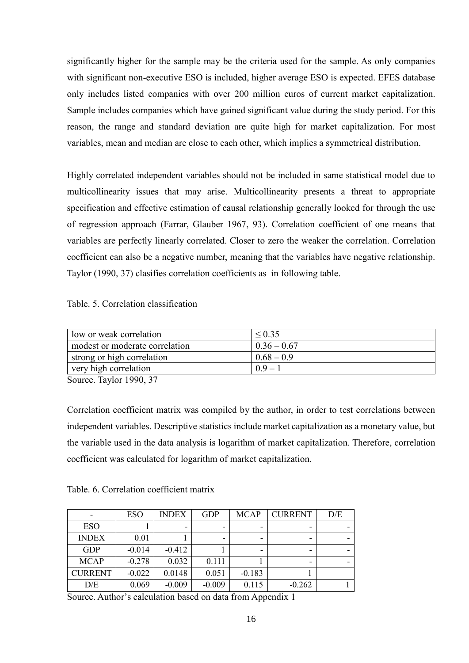significantly higher for the sample may be the criteria used for the sample. As only companies with significant non-executive ESO is included, higher average ESO is expected. EFES database only includes listed companies with over 200 million euros of current market capitalization. Sample includes companies which have gained significant value during the study period. For this reason, the range and standard deviation are quite high for market capitalization. For most variables, mean and median are close to each other, which implies a symmetrical distribution.

Highly correlated independent variables should not be included in same statistical model due to multicollinearity issues that may arise. Multicollinearity presents a threat to appropriate specification and effective estimation of causal relationship generally looked for through the use of regression approach (Farrar, Glauber 1967, 93). Correlation coefficient of one means that variables are perfectly linearly correlated. Closer to zero the weaker the correlation. Correlation coefficient can also be a negative number, meaning that the variables have negative relationship. Taylor (1990, 37) clasifies correlation coefficients as in following table.

Table. 5. Correlation classification

| low or weak correlation        | ${}_{0.35}$   |
|--------------------------------|---------------|
| modest or moderate correlation | $0.36 - 0.67$ |
| strong or high correlation     | $0.68 - 0.9$  |
| very high correlation          | $0.9 -$       |
| $T = 1$ $1000$ $27$<br>$\sim$  |               |

Source. Taylor 1990, 37

Correlation coefficient matrix was compiled by the author, in order to test correlations between independent variables. Descriptive statistics include market capitalization as a monetary value, but the variable used in the data analysis is logarithm of market capitalization. Therefore, correlation coefficient was calculated for logarithm of market capitalization.

Table. 6. Correlation coefficient matrix

|                | <b>ESO</b> | <b>INDEX</b> | <b>GDP</b> | <b>MCAP</b> | <b>CURRENT</b> | D/E |
|----------------|------------|--------------|------------|-------------|----------------|-----|
| <b>ESO</b>     |            | -            |            |             | -              |     |
| <b>INDEX</b>   | 0.01       |              |            |             |                |     |
| <b>GDP</b>     | $-0.014$   | $-0.412$     |            |             | -              |     |
| <b>MCAP</b>    | $-0.278$   | 0.032        | 0.111      |             |                |     |
| <b>CURRENT</b> | $-0.022$   | 0.0148       | 0.051      | $-0.183$    |                |     |
| D/E            | 0.069      | $-0.009$     | $-0.009$   | 0.115       | $-0.262$       |     |

Source. Author's calculation based on data from Appendix 1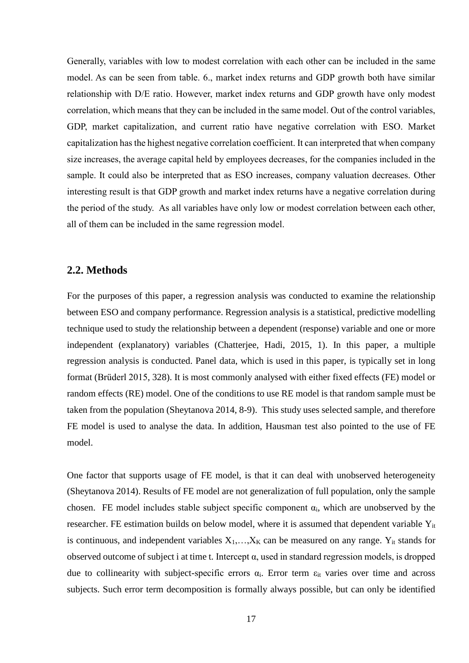Generally, variables with low to modest correlation with each other can be included in the same model. As can be seen from table. 6., market index returns and GDP growth both have similar relationship with D/E ratio. However, market index returns and GDP growth have only modest correlation, which means that they can be included in the same model. Out of the control variables, GDP, market capitalization, and current ratio have negative correlation with ESO. Market capitalization has the highest negative correlation coefficient. It can interpreted that when company size increases, the average capital held by employees decreases, for the companies included in the sample. It could also be interpreted that as ESO increases, company valuation decreases. Other interesting result is that GDP growth and market index returns have a negative correlation during the period of the study. As all variables have only low or modest correlation between each other, all of them can be included in the same regression model.

#### <span id="page-16-0"></span>**2.2. Methods**

For the purposes of this paper, a regression analysis was conducted to examine the relationship between ESO and company performance. Regression analysis is a statistical, predictive modelling technique used to study the relationship between a dependent (response) variable and one or more independent (explanatory) variables (Chatterjee, Hadi, 2015, 1). In this paper, a multiple regression analysis is conducted. Panel data, which is used in this paper, is typically set in long format (Brüderl 2015, 328). It is most commonly analysed with either fixed effects (FE) model or random effects (RE) model. One of the conditions to use RE model is that random sample must be taken from the population (Sheytanova 2014, 8-9). This study uses selected sample, and therefore FE model is used to analyse the data. In addition, Hausman test also pointed to the use of FE model.

One factor that supports usage of FE model, is that it can deal with unobserved heterogeneity (Sheytanova 2014). Results of FE model are not generalization of full population, only the sample chosen. FE model includes stable subject specific component  $\alpha_i$ , which are unobserved by the researcher. FE estimation builds on below model, where it is assumed that dependent variable Yit is continuous, and independent variables  $X_1, \ldots, X_K$  can be measured on any range. Y<sub>it</sub> stands for observed outcome of subject i at time t. Intercept  $\alpha$ , used in standard regression models, is dropped due to collinearity with subject-specific errors  $\alpha_i$ . Error term  $\varepsilon_{it}$  varies over time and across subjects. Such error term decomposition is formally always possible, but can only be identified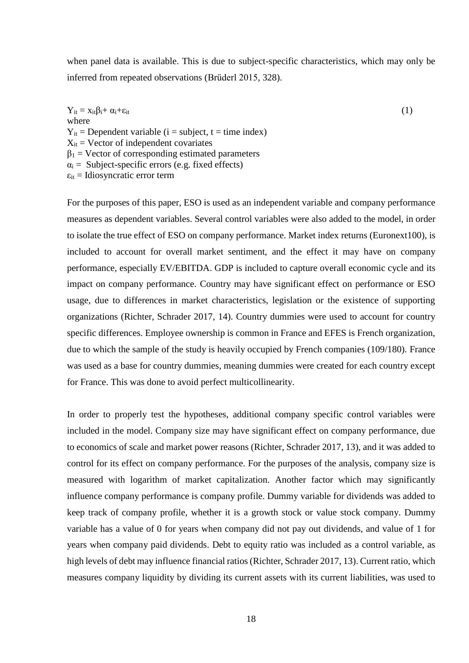when panel data is available. This is due to subject-specific characteristics, which may only be inferred from repeated observations (Brüderl 2015, 328).

 $Y_{it} = x_{it} \beta_i + \alpha_i + \varepsilon_{it}$  (1) where  $Y_{it}$  = Dependent variable (i = subject, t = time index)  $X_{it}$  = Vector of independent covariates  $\beta_1$  = Vector of corresponding estimated parameters  $\alpha_i$  = Subject-specific errors (e.g. fixed effects)  $\varepsilon_{it}$  = Idiosyncratic error term

For the purposes of this paper, ESO is used as an independent variable and company performance measures as dependent variables. Several control variables were also added to the model, in order to isolate the true effect of ESO on company performance. Market index returns (Euronext100), is included to account for overall market sentiment, and the effect it may have on company performance, especially EV/EBITDA. GDP is included to capture overall economic cycle and its impact on company performance. Country may have significant effect on performance or ESO usage, due to differences in market characteristics, legislation or the existence of supporting organizations (Richter, Schrader 2017, 14). Country dummies were used to account for country specific differences. Employee ownership is common in France and EFES is French organization, due to which the sample of the study is heavily occupied by French companies (109/180). France was used as a base for country dummies, meaning dummies were created for each country except for France. This was done to avoid perfect multicollinearity.

In order to properly test the hypotheses, additional company specific control variables were included in the model. Company size may have significant effect on company performance, due to economics of scale and market power reasons (Richter, Schrader 2017, 13), and it was added to control for its effect on company performance. For the purposes of the analysis, company size is measured with logarithm of market capitalization. Another factor which may significantly influence company performance is company profile. Dummy variable for dividends was added to keep track of company profile, whether it is a growth stock or value stock company. Dummy variable has a value of 0 for years when company did not pay out dividends, and value of 1 for years when company paid dividends. Debt to equity ratio was included as a control variable, as high levels of debt may influence financial ratios (Richter, Schrader 2017, 13). Current ratio, which measures company liquidity by dividing its current assets with its current liabilities, was used to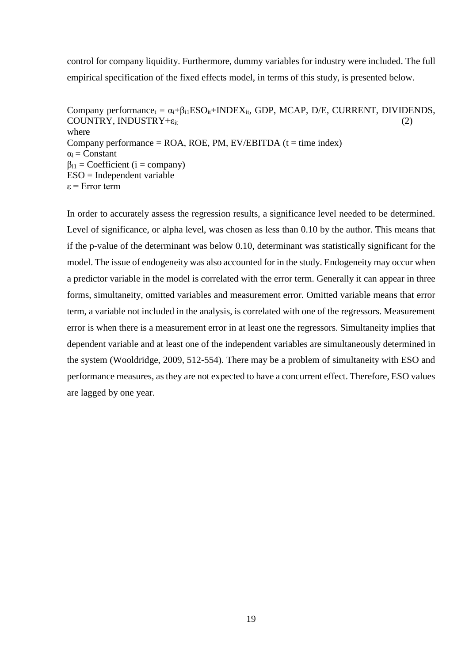control for company liquidity. Furthermore, dummy variables for industry were included. The full empirical specification of the fixed effects model, in terms of this study, is presented below.

Company performance<sub>t</sub> =  $\alpha_i + \beta_{i1}ESO_{it} + INDEX_{it}$ , GDP, MCAP, D/E, CURRENT, DIVIDENDS,  $COUNTRY$ , INDUSTRY+ $\varepsilon_{it}$  (2) where Company performance =  $ROA$ , ROE, PM, EV/EBITDA (t = time index)  $\alpha_i$  = Constant  $\beta_{i1}$  = Coefficient (i = company)  $ESO = Independent variable$ ε = Error term

In order to accurately assess the regression results, a significance level needed to be determined. Level of significance, or alpha level, was chosen as less than 0.10 by the author. This means that if the p-value of the determinant was below 0.10, determinant was statistically significant for the model. The issue of endogeneity was also accounted for in the study. Endogeneity may occur when a predictor variable in the model is correlated with the error term. Generally it can appear in three forms, simultaneity, omitted variables and measurement error. Omitted variable means that error term, a variable not included in the analysis, is correlated with one of the regressors. Measurement error is when there is a measurement error in at least one the regressors. Simultaneity implies that dependent variable and at least one of the independent variables are simultaneously determined in the system (Wooldridge, 2009, 512-554). There may be a problem of simultaneity with ESO and performance measures, as they are not expected to have a concurrent effect. Therefore, ESO values are lagged by one year.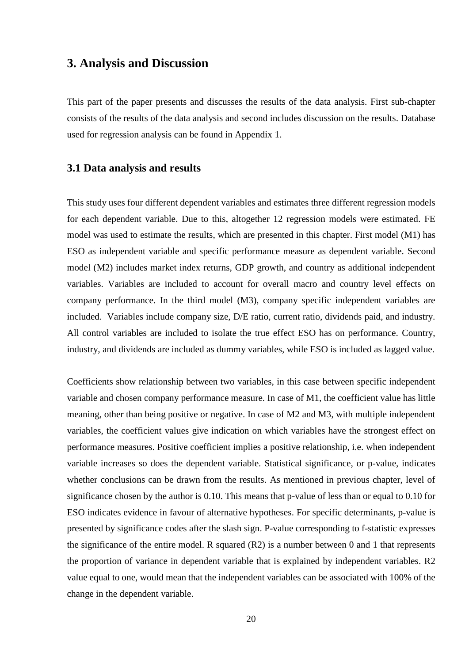# <span id="page-19-0"></span>**3. Analysis and Discussion**

This part of the paper presents and discusses the results of the data analysis. First sub-chapter consists of the results of the data analysis and second includes discussion on the results. Database used for regression analysis can be found in Appendix 1.

#### <span id="page-19-1"></span>**3.1 Data analysis and results**

This study uses four different dependent variables and estimates three different regression models for each dependent variable. Due to this, altogether 12 regression models were estimated. FE model was used to estimate the results, which are presented in this chapter. First model (M1) has ESO as independent variable and specific performance measure as dependent variable. Second model (M2) includes market index returns, GDP growth, and country as additional independent variables. Variables are included to account for overall macro and country level effects on company performance. In the third model (M3), company specific independent variables are included. Variables include company size, D/E ratio, current ratio, dividends paid, and industry. All control variables are included to isolate the true effect ESO has on performance. Country, industry, and dividends are included as dummy variables, while ESO is included as lagged value.

Coefficients show relationship between two variables, in this case between specific independent variable and chosen company performance measure. In case of M1, the coefficient value has little meaning, other than being positive or negative. In case of M2 and M3, with multiple independent variables, the coefficient values give indication on which variables have the strongest effect on performance measures. Positive coefficient implies a positive relationship, i.e. when independent variable increases so does the dependent variable. Statistical significance, or p-value, indicates whether conclusions can be drawn from the results. As mentioned in previous chapter, level of significance chosen by the author is 0.10. This means that p-value of less than or equal to 0.10 for ESO indicates evidence in favour of alternative hypotheses. For specific determinants, p-value is presented by significance codes after the slash sign. P-value corresponding to f-statistic expresses the significance of the entire model. R squared (R2) is a number between 0 and 1 that represents the proportion of variance in dependent variable that is explained by independent variables. R2 value equal to one, would mean that the independent variables can be associated with 100% of the change in the dependent variable.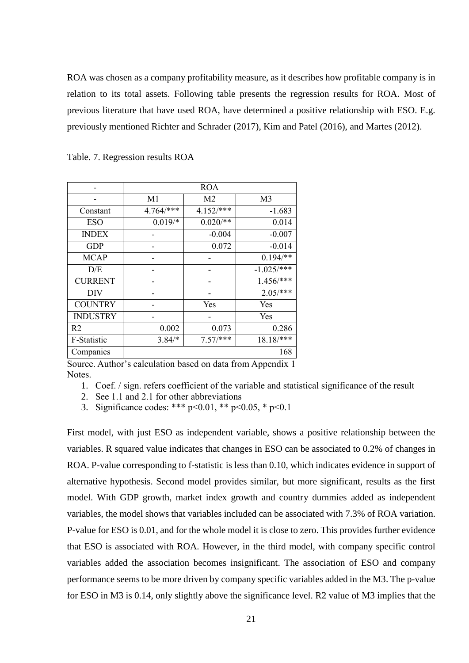ROA was chosen as a company profitability measure, as it describes how profitable company is in relation to its total assets. Following table presents the regression results for ROA. Most of previous literature that have used ROA, have determined a positive relationship with ESO. E.g. previously mentioned Richter and Schrader (2017), Kim and Patel (2016), and Martes (2012).

|                 | <b>ROA</b>     |                |                |  |  |
|-----------------|----------------|----------------|----------------|--|--|
|                 | M <sub>1</sub> | M <sub>2</sub> | M <sub>3</sub> |  |  |
| Constant        | 4.764/***      | $4.152$ /***   | $-1.683$       |  |  |
| <b>ESO</b>      | $0.019/*$      | $0.020$ /**    | 0.014          |  |  |
| <b>INDEX</b>    |                | $-0.004$       | $-0.007$       |  |  |
| <b>GDP</b>      |                | 0.072          | $-0.014$       |  |  |
| <b>MCAP</b>     |                |                | $0.194$ /**    |  |  |
| D/E             |                |                | $-1.025/*$ **  |  |  |
| <b>CURRENT</b>  |                |                | $1.456$ /***   |  |  |
| DIV             |                |                | $2.05/***$     |  |  |
| <b>COUNTRY</b>  |                | Yes            | Yes            |  |  |
| <b>INDUSTRY</b> |                |                | Yes            |  |  |
| R <sub>2</sub>  | 0.002          | 0.073          | 0.286          |  |  |
| F-Statistic     | $3.84/*$       | $7.57$ /***    | $18.18$ /***   |  |  |
| Companies       |                |                | 168            |  |  |

Table. 7. Regression results ROA

Source. Author's calculation based on data from Appendix 1 Notes.

- 1. Coef. / sign. refers coefficient of the variable and statistical significance of the result
- 2. See 1.1 and 2.1 for other abbreviations

3. Significance codes: \*\*\*  $p<0.01$ , \*\*  $p<0.05$ , \*  $p<0.1$ 

First model, with just ESO as independent variable, shows a positive relationship between the variables. R squared value indicates that changes in ESO can be associated to 0.2% of changes in ROA. P-value corresponding to f-statistic is less than 0.10, which indicates evidence in support of alternative hypothesis. Second model provides similar, but more significant, results as the first model. With GDP growth, market index growth and country dummies added as independent variables, the model shows that variables included can be associated with 7.3% of ROA variation. P-value for ESO is 0.01, and for the whole model it is close to zero. This provides further evidence that ESO is associated with ROA. However, in the third model, with company specific control variables added the association becomes insignificant. The association of ESO and company performance seems to be more driven by company specific variables added in the M3. The p-value for ESO in M3 is 0.14, only slightly above the significance level. R2 value of M3 implies that the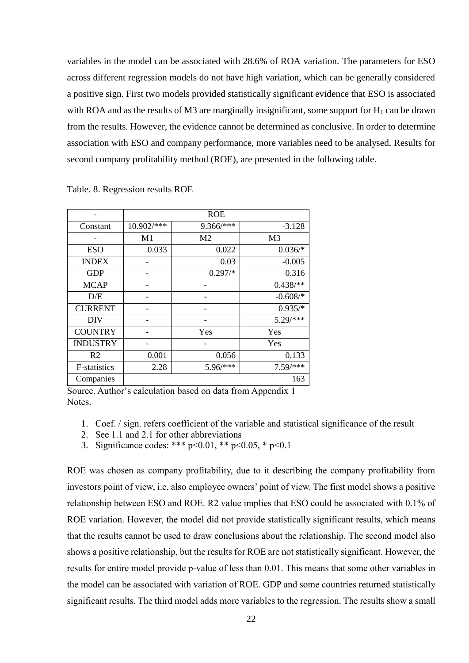variables in the model can be associated with 28.6% of ROA variation. The parameters for ESO across different regression models do not have high variation, which can be generally considered a positive sign. First two models provided statistically significant evidence that ESO is associated with ROA and as the results of M3 are marginally insignificant, some support for  $H_1$  can be drawn from the results. However, the evidence cannot be determined as conclusive. In order to determine association with ESO and company performance, more variables need to be analysed. Results for second company profitability method (ROE), are presented in the following table.

|                     |            | <b>ROE</b>     |                |
|---------------------|------------|----------------|----------------|
| Constant            | 10.902/*** | 9.366/***      | $-3.128$       |
|                     | M1         | M <sub>2</sub> | M <sub>3</sub> |
| <b>ESO</b>          | 0.033      | 0.022          | $0.036/*$      |
| <b>INDEX</b>        |            | 0.03           | $-0.005$       |
| <b>GDP</b>          |            | $0.297/*$      | 0.316          |
| <b>MCAP</b>         |            |                | $0.438$ /**    |
| D/E                 |            |                | $-0.608$ /*    |
| <b>CURRENT</b>      |            |                | $0.935/*$      |
| <b>DIV</b>          |            |                | $5.29$ /***    |
| <b>COUNTRY</b>      |            | Yes            | Yes            |
| <b>INDUSTRY</b>     |            |                | Yes            |
| R <sub>2</sub>      | 0.001      | 0.056          | 0.133          |
| <b>F-statistics</b> | 2.28       | 5.96/***       | $7.59$ /***    |
| Companies           |            |                | 163            |

Table. 8. Regression results ROE

Source. Author's calculation based on data from Appendix 1 Notes.

- 1. Coef. / sign. refers coefficient of the variable and statistical significance of the result
- 2. See 1.1 and 2.1 for other abbreviations
- 3. Significance codes: \*\*\*  $p<0.01$ , \*\*  $p<0.05$ , \*  $p<0.1$

ROE was chosen as company profitability, due to it describing the company profitability from investors point of view, i.e. also employee owners' point of view. The first model shows a positive relationship between ESO and ROE. R2 value implies that ESO could be associated with 0.1% of ROE variation. However, the model did not provide statistically significant results, which means that the results cannot be used to draw conclusions about the relationship. The second model also shows a positive relationship, but the results for ROE are not statistically significant. However, the results for entire model provide p-value of less than 0.01. This means that some other variables in the model can be associated with variation of ROE. GDP and some countries returned statistically significant results. The third model adds more variables to the regression. The results show a small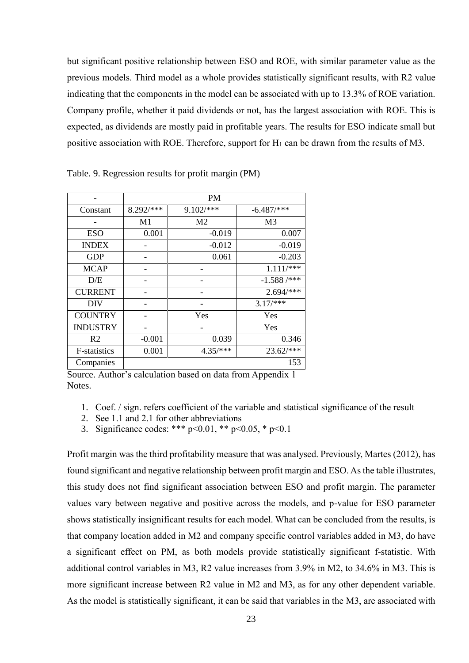but significant positive relationship between ESO and ROE, with similar parameter value as the previous models. Third model as a whole provides statistically significant results, with R2 value indicating that the components in the model can be associated with up to 13.3% of ROE variation. Company profile, whether it paid dividends or not, has the largest association with ROE. This is expected, as dividends are mostly paid in profitable years. The results for ESO indicate small but positive association with ROE. Therefore, support for  $H_1$  can be drawn from the results of M3.

|                     | <b>PM</b> |                |                |  |  |
|---------------------|-----------|----------------|----------------|--|--|
| Constant            | 8.292/*** | 9.102/***      | $-6.487$ /***  |  |  |
|                     | M1        | M <sub>2</sub> | M <sub>3</sub> |  |  |
| <b>ESO</b>          | 0.001     | $-0.019$       | 0.007          |  |  |
| <b>INDEX</b>        |           | $-0.012$       | $-0.019$       |  |  |
| <b>GDP</b>          |           | 0.061          | $-0.203$       |  |  |
| <b>MCAP</b>         |           |                | $1.111$ /***   |  |  |
| D/E                 |           |                | $-1.588$ /***  |  |  |
| <b>CURRENT</b>      |           |                | $2.694$ /***   |  |  |
| <b>DIV</b>          |           |                | $3.17$ /***    |  |  |
| <b>COUNTRY</b>      |           | Yes            | Yes            |  |  |
| <b>INDUSTRY</b>     |           |                | Yes            |  |  |
| R <sub>2</sub>      | $-0.001$  | 0.039          | 0.346          |  |  |
| <b>F-statistics</b> | 0.001     | $4.35/***$     | 23.62/***      |  |  |
| Companies           |           |                | 153            |  |  |

Table. 9. Regression results for profit margin (PM)

- 1. Coef. / sign. refers coefficient of the variable and statistical significance of the result
- 2. See 1.1 and 2.1 for other abbreviations
- 3. Significance codes: \*\*\*  $p<0.01$ , \*\*  $p<0.05$ , \*  $p<0.1$

Profit margin was the third profitability measure that was analysed. Previously, Martes (2012), has found significant and negative relationship between profit margin and ESO. As the table illustrates, this study does not find significant association between ESO and profit margin. The parameter values vary between negative and positive across the models, and p-value for ESO parameter shows statistically insignificant results for each model. What can be concluded from the results, is that company location added in M2 and company specific control variables added in M3, do have a significant effect on PM, as both models provide statistically significant f-statistic. With additional control variables in M3, R2 value increases from 3.9% in M2, to 34.6% in M3. This is more significant increase between R2 value in M2 and M3, as for any other dependent variable. As the model is statistically significant, it can be said that variables in the M3, are associated with

Source. Author's calculation based on data from Appendix 1 **Notes**.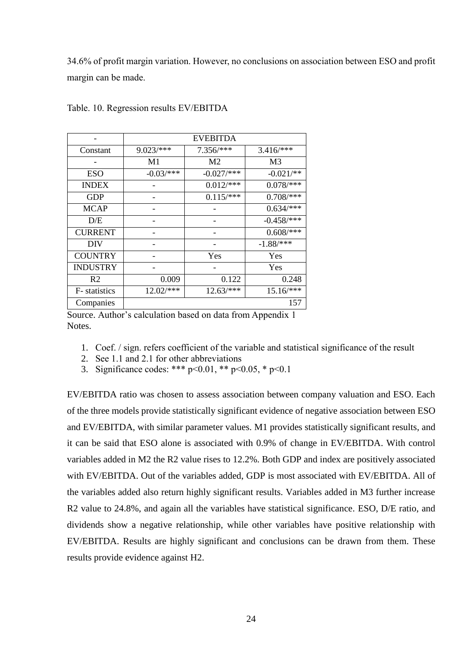34.6% of profit margin variation. However, no conclusions on association between ESO and profit margin can be made.

|                 | <b>EVEBITDA</b> |               |               |  |  |
|-----------------|-----------------|---------------|---------------|--|--|
| Constant        | $9.023$ /***    | $7.356$ /***  | $3.416$ /***  |  |  |
|                 | M1              | M2            | M3            |  |  |
| <b>ESO</b>      | $-0.03$ /***    | $-0.027$ /*** | $-0.021$ /**  |  |  |
| <b>INDEX</b>    |                 | $0.012$ /***  | $0.078$ /***  |  |  |
| <b>GDP</b>      |                 | $0.115$ /***  | $0.708$ /***  |  |  |
| <b>MCAP</b>     |                 |               | $0.634$ /***  |  |  |
| D/E             |                 |               | $-0.458$ /*** |  |  |
| <b>CURRENT</b>  |                 |               | $0.608$ /***  |  |  |
| <b>DIV</b>      |                 |               | $-1.88$ /***  |  |  |
| <b>COUNTRY</b>  |                 | Yes           | Yes           |  |  |
| <b>INDUSTRY</b> |                 |               | Yes           |  |  |
| R2              | 0.009           | 0.122         | 0.248         |  |  |
| F- statistics   | $12.02$ /***    | $12.63$ /***  | $15.16$ /***  |  |  |
| Companies       |                 |               | 157           |  |  |

Table. 10. Regression results EV/EBITDA

Source. Author's calculation based on data from Appendix 1 Notes.

- 1. Coef. / sign. refers coefficient of the variable and statistical significance of the result
- 2. See 1.1 and 2.1 for other abbreviations
- 3. Significance codes: \*\*\*  $p<0.01$ , \*\*  $p<0.05$ , \*  $p<0.1$

EV/EBITDA ratio was chosen to assess association between company valuation and ESO. Each of the three models provide statistically significant evidence of negative association between ESO and EV/EBITDA, with similar parameter values. M1 provides statistically significant results, and it can be said that ESO alone is associated with 0.9% of change in EV/EBITDA. With control variables added in M2 the R2 value rises to 12.2%. Both GDP and index are positively associated with EV/EBITDA. Out of the variables added, GDP is most associated with EV/EBITDA. All of the variables added also return highly significant results. Variables added in M3 further increase R2 value to 24.8%, and again all the variables have statistical significance. ESO, D/E ratio, and dividends show a negative relationship, while other variables have positive relationship with EV/EBITDA. Results are highly significant and conclusions can be drawn from them. These results provide evidence against H2.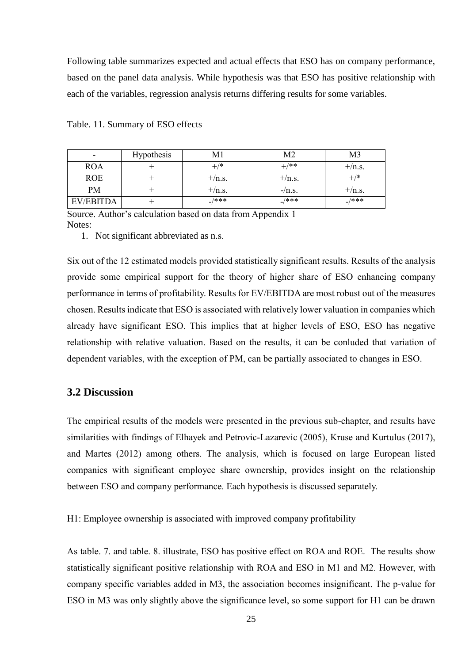Following table summarizes expected and actual effects that ESO has on company performance, based on the panel data analysis. While hypothesis was that ESO has positive relationship with each of the variables, regression analysis returns differing results for some variables.

| $\overline{\phantom{0}}$ | <b>Hypothesis</b> |            | M <sub>2</sub> | M3         |
|--------------------------|-------------------|------------|----------------|------------|
| <b>ROA</b>               |                   | $^{+/*}$   | $^{+/**}$      | $+/n.s.$   |
| <b>ROE</b>               |                   | $+/n.s.$   | $+$ /n.s.      | $^{+/*}$   |
| PM                       |                   | $+/n.s.$   | $-\prime$ n.s. | $+/n.s.$   |
| <b>EV/EBITDA</b>         |                   | $_{-}/***$ | $_{-}$ /***    | $_{-}/***$ |

Table. 11. Summary of ESO effects

Source. Author's calculation based on data from Appendix 1 Notes:

1. Not significant abbreviated as n.s.

Six out of the 12 estimated models provided statistically significant results. Results of the analysis provide some empirical support for the theory of higher share of ESO enhancing company performance in terms of profitability. Results for EV/EBITDA are most robust out of the measures chosen. Results indicate that ESO is associated with relatively lower valuation in companies which already have significant ESO. This implies that at higher levels of ESO, ESO has negative relationship with relative valuation. Based on the results, it can be conluded that variation of dependent variables, with the exception of PM, can be partially associated to changes in ESO.

#### <span id="page-24-0"></span>**3.2 Discussion**

The empirical results of the models were presented in the previous sub-chapter, and results have similarities with findings of Elhayek and Petrovic-Lazarevic (2005), Kruse and Kurtulus (2017), and Martes (2012) among others. The analysis, which is focused on large European listed companies with significant employee share ownership, provides insight on the relationship between ESO and company performance. Each hypothesis is discussed separately.

H1: Employee ownership is associated with improved company profitability

As table. 7. and table. 8. illustrate, ESO has positive effect on ROA and ROE. The results show statistically significant positive relationship with ROA and ESO in M1 and M2. However, with company specific variables added in M3, the association becomes insignificant. The p-value for ESO in M3 was only slightly above the significance level, so some support for H1 can be drawn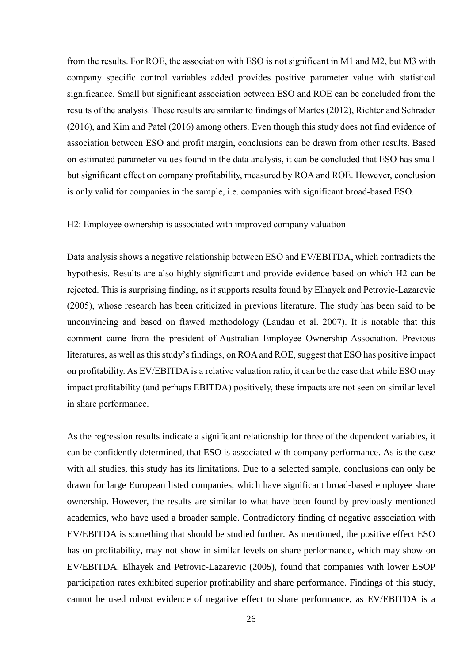from the results. For ROE, the association with ESO is not significant in M1 and M2, but M3 with company specific control variables added provides positive parameter value with statistical significance. Small but significant association between ESO and ROE can be concluded from the results of the analysis. These results are similar to findings of Martes (2012), Richter and Schrader (2016), and Kim and Patel (2016) among others. Even though this study does not find evidence of association between ESO and profit margin, conclusions can be drawn from other results. Based on estimated parameter values found in the data analysis, it can be concluded that ESO has small but significant effect on company profitability, measured by ROA and ROE. However, conclusion is only valid for companies in the sample, i.e. companies with significant broad-based ESO.

H2: Employee ownership is associated with improved company valuation

Data analysis shows a negative relationship between ESO and EV/EBITDA, which contradicts the hypothesis. Results are also highly significant and provide evidence based on which H2 can be rejected. This is surprising finding, as it supports results found by Elhayek and Petrovic-Lazarevic (2005), whose research has been criticized in previous literature. The study has been said to be unconvincing and based on flawed methodology (Laudau et al. 2007). It is notable that this comment came from the president of Australian Employee Ownership Association. Previous literatures, as well as this study's findings, on ROAand ROE, suggest that ESO has positive impact on profitability. As EV/EBITDA is a relative valuation ratio, it can be the case that while ESO may impact profitability (and perhaps EBITDA) positively, these impacts are not seen on similar level in share performance.

As the regression results indicate a significant relationship for three of the dependent variables, it can be confidently determined, that ESO is associated with company performance. As is the case with all studies, this study has its limitations. Due to a selected sample, conclusions can only be drawn for large European listed companies, which have significant broad-based employee share ownership. However, the results are similar to what have been found by previously mentioned academics, who have used a broader sample. Contradictory finding of negative association with EV/EBITDA is something that should be studied further. As mentioned, the positive effect ESO has on profitability, may not show in similar levels on share performance, which may show on EV/EBITDA. Elhayek and Petrovic-Lazarevic (2005), found that companies with lower ESOP participation rates exhibited superior profitability and share performance. Findings of this study, cannot be used robust evidence of negative effect to share performance, as EV/EBITDA is a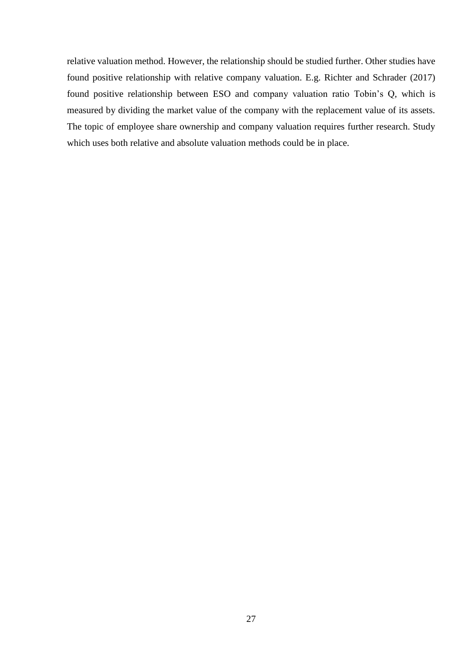relative valuation method. However, the relationship should be studied further. Other studies have found positive relationship with relative company valuation. E.g. Richter and Schrader (2017) found positive relationship between ESO and company valuation ratio Tobin's Q, which is measured by dividing the market value of the company with the replacement value of its assets. The topic of employee share ownership and company valuation requires further research. Study which uses both relative and absolute valuation methods could be in place.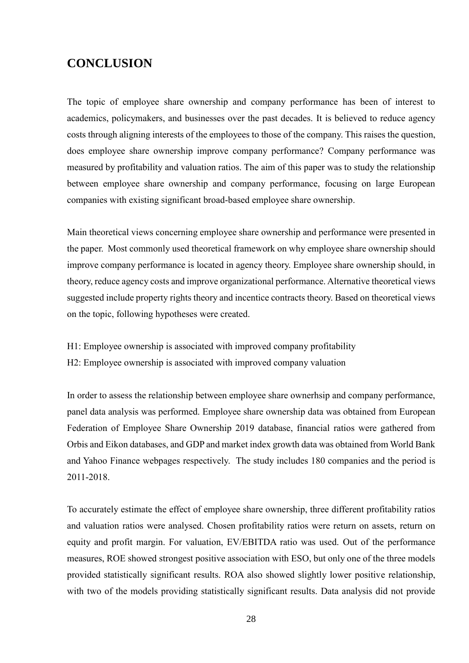# <span id="page-27-0"></span>**CONCLUSION**

The topic of employee share ownership and company performance has been of interest to academics, policymakers, and businesses over the past decades. It is believed to reduce agency costs through aligning interests of the employees to those of the company. This raises the question, does employee share ownership improve company performance? Company performance was measured by profitability and valuation ratios. The aim of this paper was to study the relationship between employee share ownership and company performance, focusing on large European companies with existing significant broad-based employee share ownership.

Main theoretical views concerning employee share ownership and performance were presented in the paper. Most commonly used theoretical framework on why employee share ownership should improve company performance is located in agency theory. Employee share ownership should, in theory, reduce agency costs and improve organizational performance. Alternative theoretical views suggested include property rights theory and incentice contracts theory. Based on theoretical views on the topic, following hypotheses were created.

- H1: Employee ownership is associated with improved company profitability
- H2: Employee ownership is associated with improved company valuation

In order to assess the relationship between employee share ownerhsip and company performance, panel data analysis was performed. Employee share ownership data was obtained from European Federation of Employee Share Ownership 2019 database, financial ratios were gathered from Orbis and Eikon databases, and GDP and market index growth data was obtained from World Bank and Yahoo Finance webpages respectively. The study includes 180 companies and the period is 2011-2018.

To accurately estimate the effect of employee share ownership, three different profitability ratios and valuation ratios were analysed. Chosen profitability ratios were return on assets, return on equity and profit margin. For valuation, EV/EBITDA ratio was used. Out of the performance measures, ROE showed strongest positive association with ESO, but only one of the three models provided statistically significant results. ROA also showed slightly lower positive relationship, with two of the models providing statistically significant results. Data analysis did not provide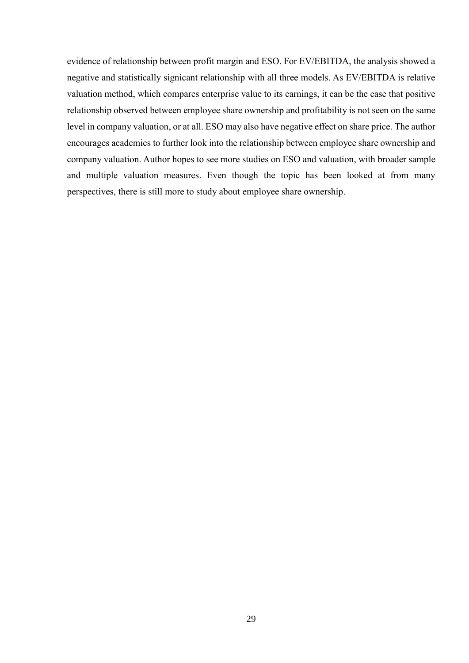evidence of relationship between profit margin and ESO. For EV/EBITDA, the analysis showed a negative and statistically signicant relationship with all three models. As EV/EBITDA is relative valuation method, which compares enterprise value to its earnings, it can be the case that positive relationship observed between employee share ownership and profitability is not seen on the same level in company valuation, or at all. ESO may also have negative effect on share price. The author encourages academics to further look into the relationship between employee share ownership and company valuation. Author hopes to see more studies on ESO and valuation, with broader sample and multiple valuation measures. Even though the topic has been looked at from many perspectives, there is still more to study about employee share ownership.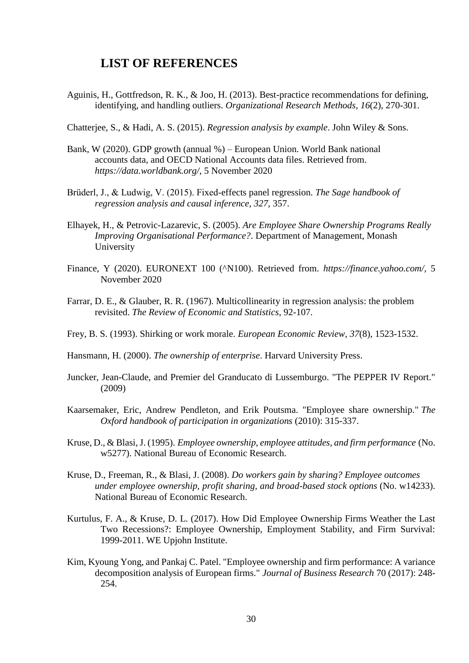### <span id="page-29-0"></span>**LIST OF REFERENCES**

Aguinis, H., Gottfredson, R. K., & Joo, H. (2013). Best-practice recommendations for defining, identifying, and handling outliers. *Organizational Research Methods*, *16*(2), 270-301.

Chatterjee, S., & Hadi, A. S. (2015). *Regression analysis by example*. John Wiley & Sons.

- Bank, W (2020). GDP growth (annual %) European Union. World Bank national accounts data, and OECD National Accounts data files. Retrieved from. *https://data.worldbank.org/*, 5 November 2020
- Brüderl, J., & Ludwig, V. (2015). Fixed-effects panel regression. *The Sage handbook of regression analysis and causal inference*, *327*, 357.
- Elhayek, H., & Petrovic-Lazarevic, S. (2005). *Are Employee Share Ownership Programs Really Improving Organisational Performance?*. Department of Management, Monash University
- Finance, Y (2020). EURONEXT 100 (^N100). Retrieved from. *https://finance.yahoo.com/,* 5 November 2020
- Farrar, D. E., & Glauber, R. R. (1967). Multicollinearity in regression analysis: the problem revisited. *The Review of Economic and Statistics*, 92-107.
- Frey, B. S. (1993). Shirking or work morale. *European Economic Review*, *37*(8), 1523-1532.
- Hansmann, H. (2000). *The ownership of enterprise*. Harvard University Press.
- Juncker, Jean-Claude, and Premier del Granducato di Lussemburgo. "The PEPPER IV Report." (2009)
- Kaarsemaker, Eric, Andrew Pendleton, and Erik Poutsma. "Employee share ownership." *The Oxford handbook of participation in organizations* (2010): 315-337.
- Kruse, D., & Blasi, J. (1995). *Employee ownership, employee attitudes, and firm performance* (No. w5277). National Bureau of Economic Research.
- Kruse, D., Freeman, R., & Blasi, J. (2008). *Do workers gain by sharing? Employee outcomes under employee ownership, profit sharing, and broad-based stock options* (No. w14233). National Bureau of Economic Research.
- Kurtulus, F. A., & Kruse, D. L. (2017). How Did Employee Ownership Firms Weather the Last Two Recessions?: Employee Ownership, Employment Stability, and Firm Survival: 1999-2011. WE Upjohn Institute.
- Kim, Kyoung Yong, and Pankaj C. Patel. "Employee ownership and firm performance: A variance decomposition analysis of European firms." *Journal of Business Research* 70 (2017): 248- 254.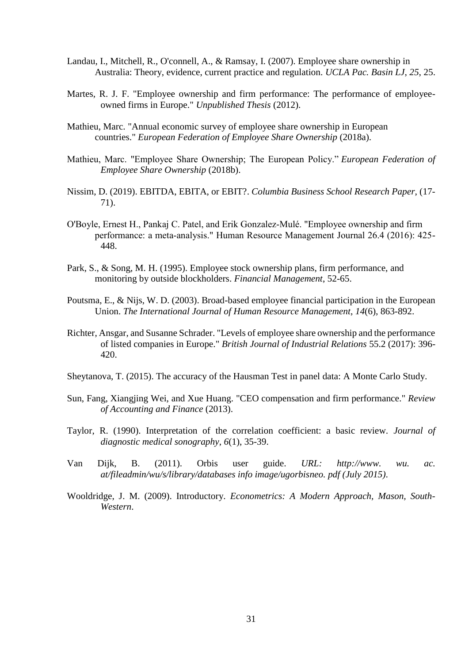- Landau, I., Mitchell, R., O'connell, A., & Ramsay, I. (2007). Employee share ownership in Australia: Theory, evidence, current practice and regulation. *UCLA Pac. Basin LJ*, *25*, 25.
- Martes, R. J. F. "Employee ownership and firm performance: The performance of employeeowned firms in Europe." *Unpublished Thesis* (2012).
- Mathieu, Marc. "Annual economic survey of employee share ownership in European countries." *European Federation of Employee Share Ownership* (2018a).
- Mathieu, Marc. "Employee Share Ownership; The European Policy." *European Federation of Employee Share Ownership* (2018b).
- Nissim, D. (2019). EBITDA, EBITA, or EBIT?. *Columbia Business School Research Paper*, (17- 71).
- O'Boyle, Ernest H., Pankaj C. Patel, and Erik Gonzalez‐Mulé. "Employee ownership and firm performance: a meta‐analysis." Human Resource Management Journal 26.4 (2016): 425- 448.
- Park, S., & Song, M. H. (1995). Employee stock ownership plans, firm performance, and monitoring by outside blockholders. *Financial Management*, 52-65.
- Poutsma, E., & Nijs, W. D. (2003). Broad-based employee financial participation in the European Union. *The International Journal of Human Resource Management*, *14*(6), 863-892.
- Richter, Ansgar, and Susanne Schrader. "Levels of employee share ownership and the performance of listed companies in Europe." *British Journal of Industrial Relations* 55.2 (2017): 396- 420.
- Sheytanova, T. (2015). The accuracy of the Hausman Test in panel data: A Monte Carlo Study.
- Sun, Fang, Xiangjing Wei, and Xue Huang. "CEO compensation and firm performance." *Review of Accounting and Finance* (2013).
- Taylor, R. (1990). Interpretation of the correlation coefficient: a basic review. *Journal of diagnostic medical sonography*, *6*(1), 35-39.
- Van Dijk, B. (2011). Orbis user guide. *URL: http://www. wu. ac. at/fileadmin/wu/s/library/databases info image/ugorbisneo. pdf (July 2015)*.
- Wooldridge, J. M. (2009). Introductory. *Econometrics: A Modern Approach, Mason, South-Western*.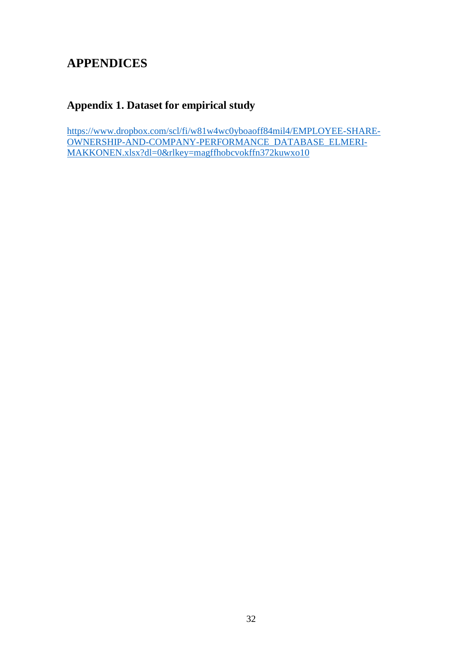# <span id="page-31-0"></span>**APPENDICES**

# <span id="page-31-1"></span>**Appendix 1. Dataset for empirical study**

[https://www.dropbox.com/scl/fi/w81w4wc0yboaoff84mil4/EMPLOYEE-SHARE-](https://www.dropbox.com/scl/fi/w81w4wc0yboaoff84mil4/EMPLOYEE-SHARE-OWNERSHIP-AND-COMPANY-PERFORMANCE_DATABASE_ELMERI-MAKKONEN.xlsx?dl=0&rlkey=magffhobcvokffn372kuwxo10)[OWNERSHIP-AND-COMPANY-PERFORMANCE\\_DATABASE\\_ELMERI-](https://www.dropbox.com/scl/fi/w81w4wc0yboaoff84mil4/EMPLOYEE-SHARE-OWNERSHIP-AND-COMPANY-PERFORMANCE_DATABASE_ELMERI-MAKKONEN.xlsx?dl=0&rlkey=magffhobcvokffn372kuwxo10)[MAKKONEN.xlsx?dl=0&rlkey=magffhobcvokffn372kuwxo10](https://www.dropbox.com/scl/fi/w81w4wc0yboaoff84mil4/EMPLOYEE-SHARE-OWNERSHIP-AND-COMPANY-PERFORMANCE_DATABASE_ELMERI-MAKKONEN.xlsx?dl=0&rlkey=magffhobcvokffn372kuwxo10)